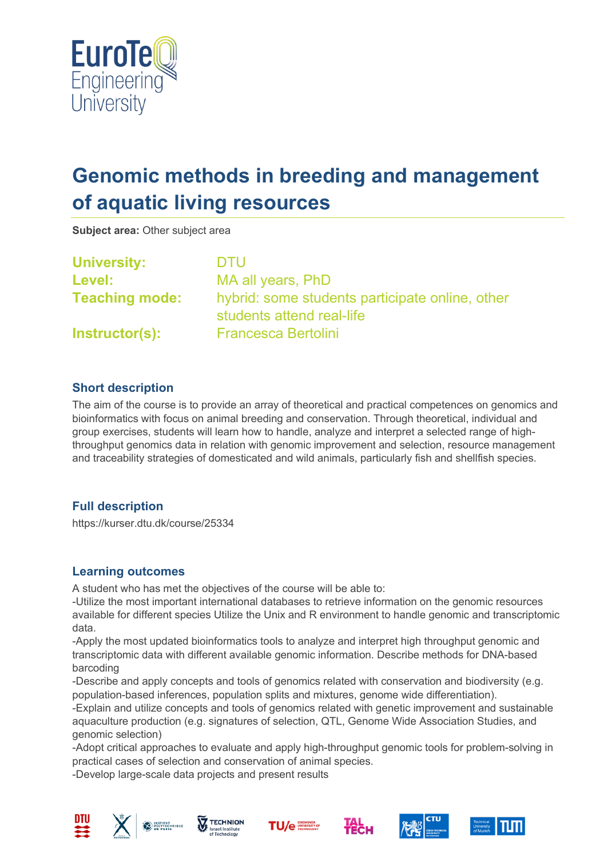

# **Genomic methods in breeding and management of aquatic living resources**

**Subject area:** Other subject area

**University:** DTU **Level:** MA all years, PhD **Teaching mode:** hybrid: some students participate online, other students attend real-life **Instructor(s):** Francesca Bertolini

### **Short description**

The aim of the course is to provide an array of theoretical and practical competences on genomics and bioinformatics with focus on animal breeding and conservation. Through theoretical, individual and group exercises, students will learn how to handle, analyze and interpret a selected range of highthroughput genomics data in relation with genomic improvement and selection, resource management and traceability strategies of domesticated and wild animals, particularly fish and shellfish species.

## **Full description**

https://kurser.dtu.dk/course/25334

#### **Learning outcomes**

A student who has met the objectives of the course will be able to:

-Utilize the most important international databases to retrieve information on the genomic resources available for different species Utilize the Unix and R environment to handle genomic and transcriptomic data.

-Apply the most updated bioinformatics tools to analyze and interpret high throughput genomic and transcriptomic data with different available genomic information. Describe methods for DNA-based barcoding

-Describe and apply concepts and tools of genomics related with conservation and biodiversity (e.g. population-based inferences, population splits and mixtures, genome wide differentiation).

-Explain and utilize concepts and tools of genomics related with genetic improvement and sustainable aquaculture production (e.g. signatures of selection, QTL, Genome Wide Association Studies, and genomic selection)

-Adopt critical approaches to evaluate and apply high-throughput genomic tools for problem-solving in practical cases of selection and conservation of animal species.

-Develop large-scale data projects and present results











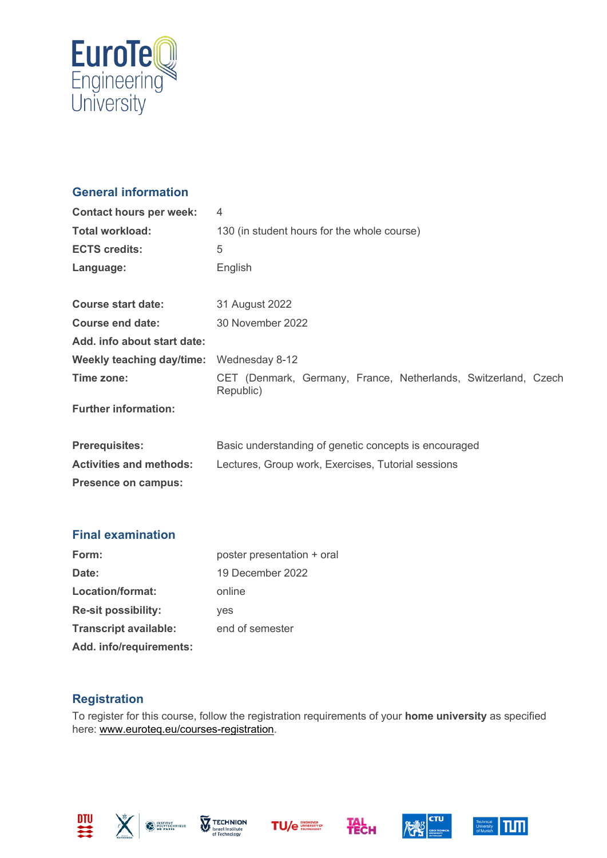

# **General information**

| <b>Contact hours per week:</b> | $\overline{4}$                                                              |  |
|--------------------------------|-----------------------------------------------------------------------------|--|
| <b>Total workload:</b>         | 130 (in student hours for the whole course)                                 |  |
| <b>ECTS credits:</b>           | 5                                                                           |  |
| Language:                      | English                                                                     |  |
| <b>Course start date:</b>      | 31 August 2022                                                              |  |
| <b>Course end date:</b>        | 30 November 2022                                                            |  |
| Add. info about start date:    |                                                                             |  |
| Weekly teaching day/time:      | Wednesday 8-12                                                              |  |
| Time zone:                     | CET (Denmark, Germany, France, Netherlands, Switzerland, Czech<br>Republic) |  |
| <b>Further information:</b>    |                                                                             |  |
| <b>Prerequisites:</b>          | Basic understanding of genetic concepts is encouraged                       |  |
| <b>Activities and methods:</b> | Lectures, Group work, Exercises, Tutorial sessions                          |  |
| <b>Presence on campus:</b>     |                                                                             |  |

## **Final examination**

| Form:                        | poster presentation + oral |
|------------------------------|----------------------------|
| Date:                        | 19 December 2022           |
| Location/format:             | online                     |
| <b>Re-sit possibility:</b>   | yes                        |
| <b>Transcript available:</b> | end of semester            |
| Add. info/requirements:      |                            |

### **Registration**

To register for this course, follow the registration requirements of your **home university** as specified here: [www.euroteq.eu/courses-registration.](http://www.euroteq.eu/courses-registration)